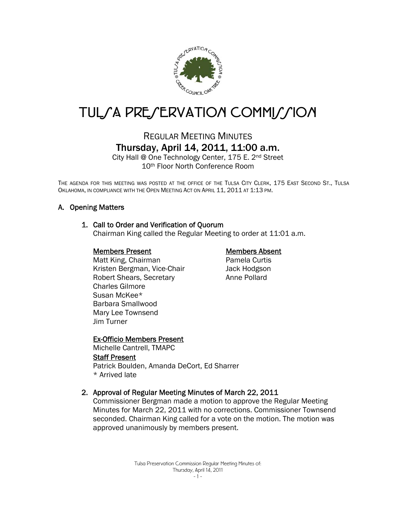

# TUL/A PRE/ERVATION COMMI//ION

# REGULAR MEETING MINUTES Thursday, April 14, 2011, 11:00 a.m.

City Hall @ One Technology Center, 175 E. 2nd Street 10th Floor North Conference Room

THE AGENDA FOR THIS MEETING WAS POSTED AT THE OFFICE OF THE TULSA CITY CLERK, 175 EAST SECOND ST., TULSA OKLAHOMA, IN COMPLIANCE WITH THE OPEN MEETING ACT ON APRIL 11, 2011 AT 1:13 PM.

# A. Opening Matters

#### 1. Call to Order and Verification of Quorum

Chairman King called the Regular Meeting to order at 11:01 a.m.

#### Members Present

Matt King, Chairman Kristen Bergman, Vice-Chair Robert Shears, Secretary Charles Gilmore Susan McKee\* Barbara Smallwood Mary Lee Townsend Jim Turner

#### Members Absent

Pamela Curtis Jack Hodgson Anne Pollard

#### Ex-Officio Members Present

Michelle Cantrell, TMAPC Staff Present Patrick Boulden, Amanda DeCort, Ed Sharrer \* Arrived late

#### 2. Approval of Regular Meeting Minutes of March 22, 2011

Commissioner Bergman made a motion to approve the Regular Meeting Minutes for March 22, 2011 with no corrections. Commissioner Townsend seconded. Chairman King called for a vote on the motion. The motion was approved unanimously by members present.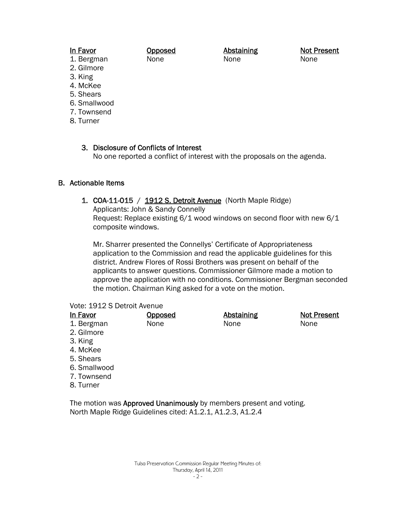### In Favor

#### Opposed None

Abstaining None

Not Present None

- 1. Bergman 2. Gilmore
- 3. King
- 4. McKee
- 5. Shears
- 6. Smallwood
- 7. Townsend
- 8. Turner

3. Disclosure of Conflicts of Interest No one reported a conflict of interest with the proposals on the agenda.

# B. Actionable Items

# 1. COA-11-015 / 1912 S. Detroit Avenue (North Maple Ridge)

Applicants: John & Sandy Connelly Request: Replace existing 6/1 wood windows on second floor with new 6/1 composite windows.

Mr. Sharrer presented the Connellys' Certificate of Appropriateness application to the Commission and read the applicable guidelines for this district. Andrew Flores of Rossi Brothers was present on behalf of the applicants to answer questions. Commissioner Gilmore made a motion to approve the application with no conditions. Commissioner Bergman seconded the motion. Chairman King asked for a vote on the motion.

#### Vote: 1912 S Detroit Avenue

| <u>In Favor</u> | <u>Opposed</u> | <b>Abstaining</b> | <b>Not Present</b> |
|-----------------|----------------|-------------------|--------------------|
| 1. Bergman      | None           | None              | None               |
| 2. Gilmore      |                |                   |                    |
| 3. King         |                |                   |                    |
| 4. McKee        |                |                   |                    |
| 5. Shears       |                |                   |                    |
| 6. Smallwood    |                |                   |                    |
| 7. Townsend     |                |                   |                    |
| $\cap$ $\top$   |                |                   |                    |

8. Turner

The motion was **Approved Unanimously** by members present and voting. North Maple Ridge Guidelines cited: A1.2.1, A1.2.3, A1.2.4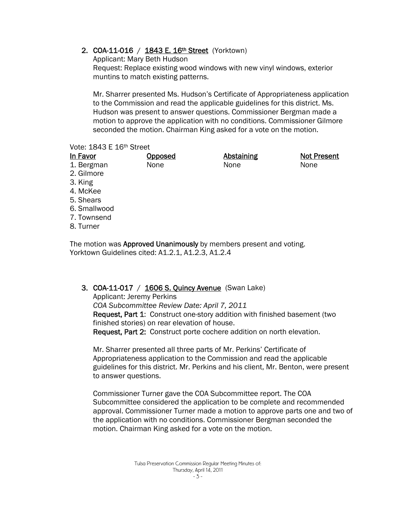# 2. COA-11-016 / 1843 E. 16th Street (Yorktown)

Applicant: Mary Beth Hudson Request: Replace existing wood windows with new vinyl windows, exterior muntins to match existing patterns.

Mr. Sharrer presented Ms. Hudson's Certificate of Appropriateness application to the Commission and read the applicable guidelines for this district. Ms. Hudson was present to answer questions. Commissioner Bergman made a motion to approve the application with no conditions. Commissioner Gilmore seconded the motion. Chairman King asked for a vote on the motion.

#### Vote: 1843 E 16th Street

| <u>In Favor</u> | <b>Opposed</b> | <b>Abstaining</b> | <b>Not Present</b> |
|-----------------|----------------|-------------------|--------------------|
| 1. Bergman      | None           | None              | None               |
| 2. Gilmore      |                |                   |                    |
| 3. King         |                |                   |                    |
| 4. McKee        |                |                   |                    |
| 5. Shears       |                |                   |                    |
| 6. Smallwood    |                |                   |                    |
| 7. Townsend     |                |                   |                    |
| 8. Turner       |                |                   |                    |

The motion was **Approved Unanimously** by members present and voting. Yorktown Guidelines cited: A1.2.1, A1.2.3, A1.2.4

# 3. COA-11-017 / 1606 S. Quincy Avenue (Swan Lake)

Applicant: Jeremy Perkins *COA Subcommittee Review Date: April 7, 2011* Request, Part 1: Construct one-story addition with finished basement (two finished stories) on rear elevation of house. Request, Part 2: Construct porte cochere addition on north elevation.

Mr. Sharrer presented all three parts of Mr. Perkins' Certificate of Appropriateness application to the Commission and read the applicable guidelines for this district. Mr. Perkins and his client, Mr. Benton, were present to answer questions.

Commissioner Turner gave the COA Subcommittee report. The COA Subcommittee considered the application to be complete and recommended approval. Commissioner Turner made a motion to approve parts one and two of the application with no conditions. Commissioner Bergman seconded the motion. Chairman King asked for a vote on the motion.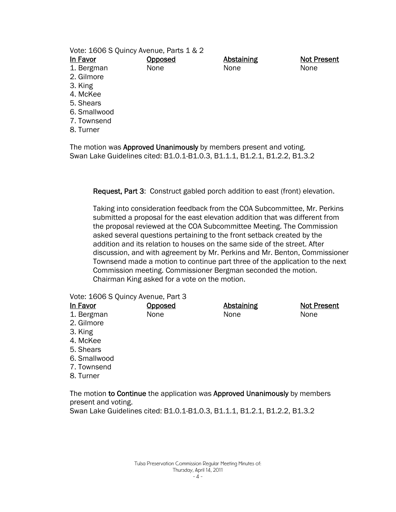|                                                 | <b>Not Present</b> |
|-------------------------------------------------|--------------------|
| <b>Abstaining</b><br><u>In Favor</u><br>Opposed |                    |
| None<br>1. Bergman<br>None<br>None              |                    |
| 2. Gilmore                                      |                    |
| 3. King                                         |                    |
| 4. McKee                                        |                    |
| 5. Shears                                       |                    |
| 6. Smallwood                                    |                    |
| 7. Townsend                                     |                    |
| 8. Turner                                       |                    |
|                                                 |                    |

The motion was Approved Unanimously by members present and voting. Swan Lake Guidelines cited: B1.0.1-B1.0.3, B1.1.1, B1.2.1, B1.2.2, B1.3.2

Request, Part 3: Construct gabled porch addition to east (front) elevation.

Taking into consideration feedback from the COA Subcommittee, Mr. Perkins submitted a proposal for the east elevation addition that was different from the proposal reviewed at the COA Subcommittee Meeting. The Commission asked several questions pertaining to the front setback created by the addition and its relation to houses on the same side of the street. After discussion, and with agreement by Mr. Perkins and Mr. Benton, Commissioner Townsend made a motion to continue part three of the application to the next Commission meeting. Commissioner Bergman seconded the motion. Chairman King asked for a vote on the motion.

Vote: 1606 S Quincy Avenue, Part 3

| In Favor     | <b>Opposed</b> | <b>Abstaining</b> | <b>Not Present</b> |
|--------------|----------------|-------------------|--------------------|
| 1. Bergman   | None           | None              | None               |
| 2. Gilmore   |                |                   |                    |
| 3. King      |                |                   |                    |
| 4. McKee     |                |                   |                    |
| 5. Shears    |                |                   |                    |
| 6. Smallwood |                |                   |                    |
| 7. Townsend  |                |                   |                    |
| 8. Turner    |                |                   |                    |

The motion to Continue the application was Approved Unanimously by members present and voting. Swan Lake Guidelines cited: B1.0.1-B1.0.3, B1.1.1, B1.2.1, B1.2.2, B1.3.2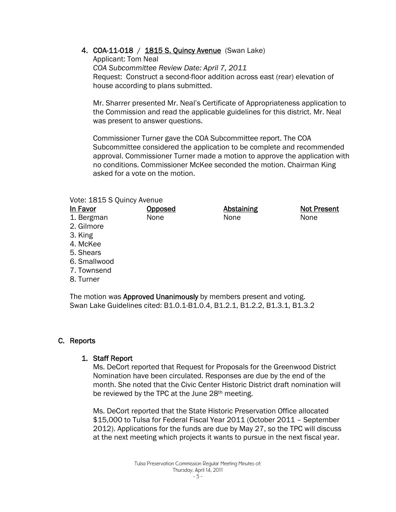# 4. COA-11-018 / 1815 S. Quincy Avenue (Swan Lake)

Applicant: Tom Neal *COA Subcommittee Review Date: April 7, 2011* Request: Construct a second-floor addition across east (rear) elevation of house according to plans submitted.

Mr. Sharrer presented Mr. Neal's Certificate of Appropriateness application to the Commission and read the applicable guidelines for this district. Mr. Neal was present to answer questions.

Commissioner Turner gave the COA Subcommittee report. The COA Subcommittee considered the application to be complete and recommended approval. Commissioner Turner made a motion to approve the application with no conditions. Commissioner McKee seconded the motion. Chairman King asked for a vote on the motion.

#### Vote: 1815 S Quincy Avenue

| In Favor     | <b>Opposed</b> | <b>Abstaining</b> | <b>Not Present</b> |
|--------------|----------------|-------------------|--------------------|
| 1. Bergman   | None           | None              | None               |
| 2. Gilmore   |                |                   |                    |
| 3. King      |                |                   |                    |
| 4. McKee     |                |                   |                    |
| 5. Shears    |                |                   |                    |
| 6. Smallwood |                |                   |                    |
| 7. Townsend  |                |                   |                    |

8. Turner

The motion was **Approved Unanimously** by members present and voting. Swan Lake Guidelines cited: B1.0.1-B1.0.4, B1.2.1, B1.2.2, B1.3.1, B1.3.2

# C. Reports

#### 1. Staff Report

Ms. DeCort reported that Request for Proposals for the Greenwood District Nomination have been circulated. Responses are due by the end of the month. She noted that the Civic Center Historic District draft nomination will be reviewed by the TPC at the June 28<sup>th</sup> meeting.

Ms. DeCort reported that the State Historic Preservation Office allocated \$15,000 to Tulsa for Federal Fiscal Year 2011 (October 2011 – September 2012). Applications for the funds are due by May 27, so the TPC will discuss at the next meeting which projects it wants to pursue in the next fiscal year.